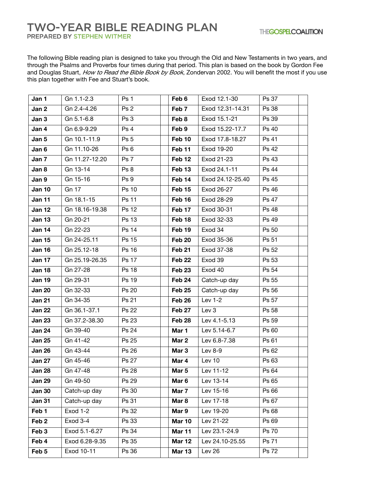## **TWO-YEAR BIBLE READING PLAN**

PREPARED BY STEPHEN WITMER

The following Bible reading plan is designed to take you through the Old and New Testaments in two years, and through the Psalms and Proverbs four times during that period. This plan is based on the book by Gordon Fee and Douglas Stuart, How to Read the Bible Book by Book, Zondervan 2002. You will benefit the most if you use this plan together with Fee and Stuart's book.

| Jan 1            | Gn 1.1-2.3     | Ps 1            | Feb 6             | Exod 12.1-30     | Ps 37 |
|------------------|----------------|-----------------|-------------------|------------------|-------|
| Jan 2            | Gn 2.4-4.26    | Ps 2            | Feb 7             | Exod 12.31-14.31 | Ps 38 |
| Jan 3            | Gn 5.1-6.8     | Ps 3            | Feb 8             | Exod 15.1-21     | Ps 39 |
| Jan 4            | Gn 6.9-9.29    | Ps 4            | Feb 9             | Exod 15.22-17.7  | Ps 40 |
| Jan 5            | Gn 10.1-11.9   | Ps <sub>5</sub> | Feb 10            | Exod 17.8-18.27  | Ps 41 |
| Jan 6            | Gn 11.10-26    | Ps <sub>6</sub> | Feb 11            | Exod 19-20       | Ps 42 |
| Jan 7            | Gn 11.27-12.20 | Ps 7            | Feb <sub>12</sub> | Exod 21-23       | Ps 43 |
| Jan 8            | Gn 13-14       | Ps 8            | Feb <sub>13</sub> | Exod 24.1-11     | Ps 44 |
| Jan 9            | Gn 15-16       | Ps 9            | Feb 14            | Exod 24.12-25.40 | Ps 45 |
| <b>Jan 10</b>    | Gn 17          | Ps 10           | Feb <sub>15</sub> | Exod 26-27       | Ps 46 |
| Jan 11           | Gn 18.1-15     | Ps 11           | Feb 16            | Exod 28-29       | Ps 47 |
| <b>Jan 12</b>    | Gn 18.16-19.38 | Ps 12           | Feb 17            | Exod 30-31       | Ps 48 |
| <b>Jan 13</b>    | Gn 20-21       | Ps 13           | Feb <sub>18</sub> | Exod 32-33       | Ps 49 |
| Jan 14           | Gn 22-23       | Ps 14           | Feb 19            | Exod 34          | Ps 50 |
| <b>Jan 15</b>    | Gn 24-25.11    | Ps 15           | Feb 20            | Exod 35-36       | Ps 51 |
| <b>Jan 16</b>    | Gn 25.12-18    | Ps 16           | Feb 21            | Exod 37-38       | Ps 52 |
| Jan 17           | Gn 25.19-26.35 | Ps 17           | Feb 22            | Exod 39          | Ps 53 |
| <b>Jan 18</b>    | Gn 27-28       | <b>Ps 18</b>    | <b>Feb 23</b>     | Exod 40          | Ps 54 |
| <b>Jan 19</b>    | Gn 29-31       | Ps 19           | Feb 24            | Catch-up day     | Ps 55 |
| <b>Jan 20</b>    | Gn 32-33       | Ps 20           | Feb 25            | Catch-up day     | Ps 56 |
| <b>Jan 21</b>    | Gn 34-35       | Ps 21           | Feb 26            | Lev $1-2$        | Ps 57 |
| <b>Jan 22</b>    | Gn 36.1-37.1   | Ps 22           | Feb 27            | Lev 3            | Ps 58 |
| <b>Jan 23</b>    | Gn 37.2-38.30  | Ps 23           | Feb <sub>28</sub> | Lev 4.1-5.13     | Ps 59 |
| <b>Jan 24</b>    | Gn 39-40       | Ps 24           | Mar 1             | Lev 5.14-6.7     | Ps 60 |
| <b>Jan 25</b>    | Gn 41-42       | Ps 25           | Mar 2             | Lev 6.8-7.38     | Ps 61 |
| <b>Jan 26</b>    | Gn 43-44       | Ps 26           | Mar 3             | Lev 8-9          | Ps 62 |
| <b>Jan 27</b>    | Gn 45-46       | Ps 27           | Mar 4             | Lev 10           | Ps 63 |
| <b>Jan 28</b>    | Gn 47-48       | Ps 28           | Mar 5             | Lev 11-12        | Ps 64 |
| <b>Jan 29</b>    | Gn 49-50       | Ps 29           | Mar <sub>6</sub>  | Lev 13-14        | Ps 65 |
| <b>Jan 30</b>    | Catch-up day   | Ps 30           | Mar 7             | Lev 15-16        | Ps 66 |
| <b>Jan 31</b>    | Catch-up day   | Ps 31           | Mar 8             | Lev 17-18        | Ps 67 |
| Feb 1            | Exod 1-2       | Ps 32           | Mar 9             | Lev 19-20        | Ps 68 |
| Feb <sub>2</sub> | Exod 3-4       | Ps 33           | <b>Mar 10</b>     | Lev 21-22        | Ps 69 |
| Feb <sub>3</sub> | Exod 5.1-6.27  | Ps 34           | Mar 11            | Lev 23.1-24.9    | Ps 70 |
| Feb 4            | Exod 6.28-9.35 | Ps 35           | <b>Mar 12</b>     | Lev 24.10-25.55  | Ps 71 |
| Feb 5            | Exod 10-11     | Ps 36           | <b>Mar 13</b>     | Lev 26           | Ps 72 |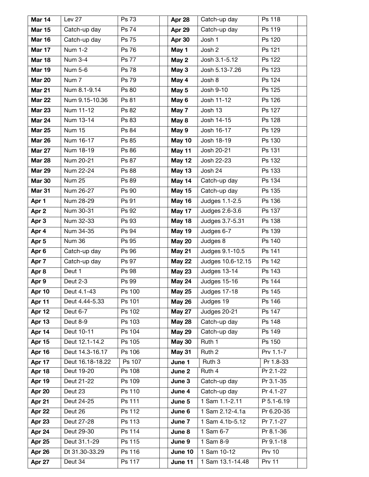| Mar 14           | Lev 27           | Ps 73        | Apr 28        | Catch-up day      | Ps 118        |
|------------------|------------------|--------------|---------------|-------------------|---------------|
| <b>Mar 15</b>    | Catch-up day     | Ps 74        | Apr 29        | Catch-up day      | Ps 119        |
| <b>Mar 16</b>    | Catch-up day     | Ps 75        | Apr 30        | Josh 1            | Ps 120        |
| Mar 17           | <b>Num 1-2</b>   | Ps 76        | May 1         | Josh 2            | Ps 121        |
| <b>Mar 18</b>    | Num 3-4          | <b>Ps 77</b> | May 2         | Josh 3.1-5.12     | Ps 122        |
| <b>Mar 19</b>    | Num 5-6          | Ps 78        | May 3         | Josh 5.13-7.26    | Ps 123        |
| <b>Mar 20</b>    | Num 7            | Ps 79        | May 4         | Josh 8            | Ps 124        |
| <b>Mar 21</b>    | Num 8.1-9.14     | Ps 80        | May 5         | Josh 9-10         | Ps 125        |
| <b>Mar 22</b>    | Num 9.15-10.36   | Ps 81        | May 6         | Josh 11-12        | Ps 126        |
| <b>Mar 23</b>    | Num 11-12        | Ps 82        | May 7         | Josh 13           | Ps 127        |
| <b>Mar 24</b>    | Num 13-14        | Ps 83        | May 8         | Josh 14-15        | Ps 128        |
| <b>Mar 25</b>    | Num 15           | Ps 84        | May 9         | Josh 16-17        | Ps 129        |
| <b>Mar 26</b>    | Num 16-17        | Ps 85        | May 10        | Josh 18-19        | Ps 130        |
| <b>Mar 27</b>    | Num 18-19        | Ps 86        | May 11        | Josh 20-21        | Ps 131        |
| <b>Mar 28</b>    | Num 20-21        | Ps 87        | <b>May 12</b> | Josh 22-23        | Ps 132        |
| <b>Mar 29</b>    | Num 22-24        | Ps 88        | <b>May 13</b> | Josh 24           | Ps 133        |
| <b>Mar 30</b>    | Num 25           | Ps 89        | May 14        | Catch-up day      | Ps 134        |
| <b>Mar 31</b>    | Num 26-27        | Ps 90        | <b>May 15</b> | Catch-up day      | Ps 135        |
| Apr 1            | Num 28-29        | Ps 91        | May 16        | Judges 1.1-2.5    | Ps 136        |
| Apr 2            | Num 30-31        | Ps 92        | May 17        | Judges 2.6-3.6    | Ps 137        |
| Apr 3            | Num 32-33        | Ps 93        | May 18        | Judges 3.7-5.31   | Ps 138        |
| Apr 4            | Num 34-35        | Ps 94        | <b>May 19</b> | Judges 6-7        | Ps 139        |
| Apr 5            | Num 36           | Ps 95        | <b>May 20</b> | Judges 8          | Ps 140        |
| Apr <sub>6</sub> | Catch-up day     | Ps 96        | <b>May 21</b> | Judges 9.1-10.5   | Ps 141        |
| Apr 7            | Catch-up day     | Ps 97        | <b>May 22</b> | Judges 10.6-12.15 | Ps 142        |
| Apr 8            | Deut 1           | Ps 98        | <b>May 23</b> | Judges 13-14      | Ps 143        |
| Apr 9            | Deut 2-3         | Ps 99        | <b>May 24</b> | Judges 15-16      | Ps 144        |
| Apr 10           | Deut 4.1-43      | Ps 100       | <b>May 25</b> | Judges 17-18      | Ps 145        |
| Apr 11           | Deut 4.44-5.33   | Ps 101       | <b>May 26</b> | Judges 19         | Ps 146        |
| Apr 12           | Deut 6-7         | Ps 102       | <b>May 27</b> | Judges 20-21      | Ps 147        |
| Apr 13           | Deut 8-9         | Ps 103       | <b>May 28</b> | Catch-up day      | Ps 148        |
| Apr 14           | Deut 10-11       | Ps 104       | <b>May 29</b> | Catch-up day      | Ps 149        |
| Apr 15           | Deut 12.1-14.2   | Ps 105       | <b>May 30</b> | Ruth 1            | Ps 150        |
| Apr 16           | Deut 14.3-16.17  | Ps 106       | May 31        | Ruth <sub>2</sub> | Prv 1.1-7     |
| Apr 17           | Deut 16.18-18.22 | Ps 107       | June 1        | Ruth 3            | Pr 1.8-33     |
| Apr 18           | Deut 19-20       | Ps 108       | June 2        | Ruth 4            | Pr 2.1-22     |
| Apr 19           | Deut 21-22       | Ps 109       | June 3        | Catch-up day      | Pr 3.1-35     |
| Apr 20           | Deut 23          | Ps 110       | June 4        | Catch-up day      | Pr 4.1-27     |
| Apr 21           | Deut 24-25       | Ps 111       | June 5        | 1 Sam 1.1-2.11    | P 5.1-6.19    |
| Apr 22           | Deut 26          | Ps 112       | June 6        | 1 Sam 2.12-4.1a   | Pr 6.20-35    |
| Apr 23           | Deut 27-28       | Ps 113       | June 7        | 1 Sam 4.1b-5.12   | Pr 7.1-27     |
| Apr 24           | Deut 29-30       | Ps 114       | June 8        | 1 Sam 6-7         | Pr 8.1-36     |
| Apr 25           | Deut 31.1-29     | Ps 115       | June 9        | 1 Sam 8-9         | Pr 9.1-18     |
| Apr 26           | Dt 31.30-33.29   | Ps 116       | June 10       | 1 Sam 10-12       | <b>Prv 10</b> |
| Apr 27           | Deut 34          | Ps 117       | June 11       | 1 Sam 13.1-14.48  | <b>Prv 11</b> |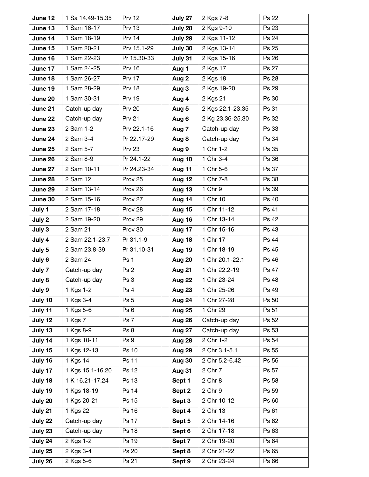| June 12 | 1 Sa 14.49-15.35      | <b>Prv 12</b> | July 27       | 2 Kgs 7-8        | Ps 22        |
|---------|-----------------------|---------------|---------------|------------------|--------------|
| June 13 | 1 Sam 16-17           | <b>Prv 13</b> | July 28       | 2 Kgs 9-10       | Ps 23        |
| June 14 | 1 Sam 18-19           | <b>Prv 14</b> | July 29       | 2 Kgs 11-12      | Ps 24        |
| June 15 | 1 Sam 20-21           | Prv 15.1-29   | July 30       | 2 Kgs 13-14      | Ps 25        |
| June 16 | 1 Sam 22-23           | Pr 15.30-33   | July 31       | 2 Kgs 15-16      | Ps 26        |
| June 17 | 1 Sam 24-25           | <b>Prv 16</b> | Aug 1         | 2 Kgs 17         | Ps 27        |
| June 18 | 1 Sam 26-27           | <b>Prv 17</b> | Aug 2         | 2 Kgs 18         | Ps 28        |
| June 19 | 1 Sam 28-29           | <b>Prv 18</b> | Aug 3         | 2 Kgs 19-20      | Ps 29        |
| June 20 | 1 Sam 30-31           | <b>Prv 19</b> | Aug 4         | 2 Kgs 21         | Ps 30        |
| June 21 | Catch-up day          | <b>Prv 20</b> | Aug 5         | 2 Kgs 22.1-23.35 | Ps 31        |
| June 22 | Catch-up day          | <b>Prv 21</b> | Aug 6         | 2 Kg 23.36-25.30 | Ps 32        |
| June 23 | 2 Sam 1-2             | Prv 22.1-16   | Aug 7         | Catch-up day     | Ps 33        |
| June 24 | 2 Sam 3-4             | Pr 22.17-29   | Aug 8         | Catch-up day     | Ps 34        |
| June 25 | 2 Sam 5-7             | <b>Prv 23</b> | Aug 9         | 1 Chr 1-2        | Ps 35        |
| June 26 | 2 Sam 8-9             | Pr 24.1-22    | Aug 10        | 1 Chr 3-4        | Ps 36        |
| June 27 | 2 Sam 10-11           | Pr 24.23-34   | Aug 11        | 1 Chr 5-6        | Ps 37        |
| June 28 | 2 Sam 12              | Prov 25       | Aug 12        | 1 Chr 7-8        | Ps 38        |
| June 29 | 2 Sam 13-14           | Prov 26       | Aug 13        | 1 Chr 9          | Ps 39        |
| June 30 | 2 Sam 15-16           | Prov 27       | Aug 14        | 1 Chr 10         | Ps 40        |
| July 1  | 2 Sam 17-18           | Prov 28       | Aug 15        | 1 Chr 11-12      | Ps 41        |
| July 2  | 2 Sam 19-20           | Prov 29       | Aug 16        | 1 Chr 13-14      | Ps 42        |
| July 3  | 2 Sam 21              | Prov 30       | Aug 17        | 1 Chr 15-16      | Ps 43        |
| July 4  | 2 Sam 22.1-23.7       | Pr 31.1-9     | Aug 18        | 1 Chr 17         | Ps 44        |
| July 5  | 2 Sam 23.8-39         | Pr 31.10-31   | Aug 19        | 1 Chr 18-19      | Ps 45        |
| July 6  | 2 Sam 24              | Ps 1          | Aug 20        | 1 Chr 20.1-22.1  | Ps 46        |
| July 7  | Catch-up day          | Ps 2          | Aug 21        | 1 Chr 22.2-19    | Ps 47        |
| July 8  | Catch-up day          | Ps 3          | Aug 22        | 1 Chr 23-24      | <b>Ps 48</b> |
| July 9  | 1 Kgs 1-2             | Ps 4          | Aug 23        | 1 Chr 25-26      | Ps 49        |
| July 10 | 1 Kgs 3-4             | Ps 5          | Aug 24        | 1 Chr 27-28      | Ps 50        |
| July 11 | 1 Kgs 5-6             | Ps 6          | <b>Aug 25</b> | 1 Chr 29         | Ps 51        |
| July 12 | 1 Kgs 7               | Ps 7          | Aug 26        | Catch-up day     | Ps 52        |
| July 13 | 1 Kgs 8-9             | Ps 8          | Aug 27        | Catch-up day     | Ps 53        |
| July 14 | 1 Kgs 10-11           | Ps 9          | Aug 28        | 2 Chr 1-2        | Ps 54        |
| July 15 | 1 Kgs 12-13           | Ps 10         | Aug 29        | 2 Chr 3.1-5.1    | Ps 55        |
| July 16 | 1 Kgs 14              | <b>Ps 11</b>  | Aug 30        | 2 Chr 5.2-6.42   | Ps 56        |
| July 17 | 1 Kgs 15.1-16.20      | Ps 12         | <b>Aug 31</b> | 2 Chr 7          | Ps 57        |
| July 18 | 1 K 16.21-17.24       | Ps 13         | Sept 1        | 2 Chr 8          | Ps 58        |
| July 19 | 1 Kgs 18-19           | Ps 14         | Sept 2        | 2 Chr 9          | Ps 59        |
| July 20 | 1 Kgs 20-21           | Ps 15         | Sept 3        | 2 Chr 10-12      | Ps 60        |
| July 21 | $\overline{1}$ Kgs 22 | Ps 16         | Sept 4        | 2 Chr 13         | Ps 61        |
| July 22 | Catch-up day          | <b>Ps 17</b>  | Sept 5        | 2 Chr 14-16      | Ps 62        |
| July 23 | Catch-up day          | Ps 18         | Sept 6        | 2 Chr 17-18      | Ps 63        |
| July 24 | 2 Kgs 1-2             | Ps 19         | Sept 7        | 2 Chr 19-20      | Ps 64        |
| July 25 | 2 Kgs 3-4             | Ps 20         | Sept 8        | 2 Chr 21-22      | Ps 65        |
| July 26 | 2 Kgs 5-6             | Ps 21         | Sept 9        | 2 Chr 23-24      | Ps 66        |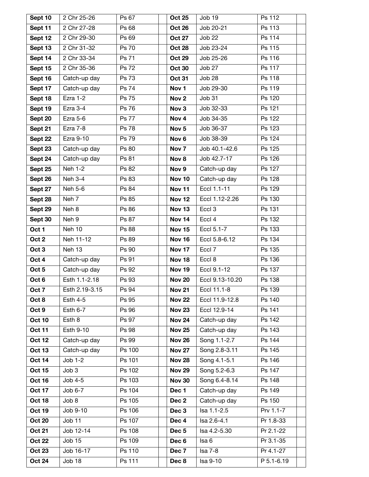| Sept 10          | 2 Chr 25-26     | Ps 67        | <b>Oct 25</b>    | Job 19                  | Ps 112     |
|------------------|-----------------|--------------|------------------|-------------------------|------------|
| Sept 11          | 2 Chr 27-28     | Ps 68        | <b>Oct 26</b>    | Job 20-21               | Ps 113     |
| Sept 12          | 2 Chr 29-30     | Ps 69        | <b>Oct 27</b>    | <b>Job 22</b>           | Ps 114     |
| Sept 13          | 2 Chr 31-32     | Ps 70        | <b>Oct 28</b>    | Job 23-24               | Ps 115     |
| Sept 14          | 2 Chr 33-34     | Ps 71        | <b>Oct 29</b>    | $\overline{J}$ ob 25-26 | Ps 116     |
| Sept 15          | 2 Chr 35-36     | Ps 72        | <b>Oct 30</b>    | Job 27                  | Ps 117     |
| Sept 16          | Catch-up day    | Ps 73        | <b>Oct 31</b>    | Job 28                  | Ps 118     |
| Sept 17          | Catch-up day    | Ps 74        | Nov <sub>1</sub> | Job 29-30               | Ps 119     |
| Sept 18          | Ezra 1-2        | Ps 75        | Nov <sub>2</sub> | Job 31                  | Ps 120     |
| Sept 19          | Ezra 3-4        | Ps 76        | Nov <sub>3</sub> | Job 32-33               | Ps 121     |
| Sept 20          | Ezra 5-6        | <b>Ps 77</b> | Nov <sub>4</sub> | Job 34-35               | Ps 122     |
| Sept 21          | Ezra 7-8        | Ps 78        | Nov <sub>5</sub> | Job 36-37               | Ps 123     |
| Sept 22          | Ezra 9-10       | Ps 79        | Nov <sub>6</sub> | Job 38-39               | Ps 124     |
| Sept 23          | Catch-up day    | Ps 80        | Nov <sub>7</sub> | Job 40.1-42.6           | Ps 125     |
| Sept 24          | Catch-up day    | Ps 81        | Nov 8            | Job 42.7-17             | Ps 126     |
| Sept 25          | Neh 1-2         | Ps 82        | Nov <sub>9</sub> | Catch-up day            | Ps 127     |
| Sept 26          | Neh 3-4         | Ps 83        | <b>Nov 10</b>    | Catch-up day            | Ps 128     |
| Sept 27          | Neh 5-6         | Ps 84        | <b>Nov 11</b>    | Eccl 1.1-11             | Ps 129     |
| Sept 28          | Neh 7           | Ps 85        | <b>Nov 12</b>    | Eccl 1.12-2.26          | Ps 130     |
| Sept 29          | Neh 8           | Ps 86        | <b>Nov 13</b>    | Eccl <sub>3</sub>       | Ps 131     |
| Sept 30          | Neh 9           | Ps 87        | <b>Nov 14</b>    | Eccl 4                  | Ps 132     |
| Oct 1            | Neh 10          | Ps 88        | <b>Nov 15</b>    | Eccl 5.1-7              | Ps 133     |
| Oct 2            | Neh 11-12       | Ps 89        | <b>Nov 16</b>    | Eccl 5.8-6.12           | Ps 134     |
| Oct <sub>3</sub> | Neh 13          | Ps 90        | <b>Nov 17</b>    | Eccl 7                  | Ps 135     |
| Oct 4            | Catch-up day    | Ps 91        | <b>Nov 18</b>    | Eccl 8                  | Ps 136     |
| Oct <sub>5</sub> | Catch-up day    | Ps 92        | <b>Nov 19</b>    | Eccl 9.1-12             | Ps 137     |
| Oct 6            | Esth 1.1-2.18   | Ps 93        | <b>Nov 20</b>    | Eccl 9.13-10.20         | Ps 138     |
| Oct 7            | Esth 2.19-3.15  | Ps 94        | <b>Nov 21</b>    | Eccl 11.1-8             | Ps 139     |
| Oct 8            | <b>Esth 4-5</b> | Ps 95        | <b>Nov 22</b>    | Eccl 11.9-12.8          | Ps 140     |
| Oct 9            | Esth 6-7        | Ps 96        | <b>Nov 23</b>    | Eccl 12.9-14            | Ps 141     |
| <b>Oct 10</b>    | Esth 8          | Ps 97        | <b>Nov 24</b>    | Catch-up day            | Ps 142     |
| <b>Oct 11</b>    | Esth 9-10       | Ps 98        | <b>Nov 25</b>    | Catch-up day            | Ps 143     |
| <b>Oct 12</b>    | Catch-up day    | Ps 99        | <b>Nov 26</b>    | Song 1.1-2.7            | Ps 144     |
| <b>Oct 13</b>    | Catch-up day    | Ps 100       | <b>Nov 27</b>    | Song 2.8-3.11           | Ps 145     |
| <b>Oct 14</b>    | $Job 1-2$       | Ps 101       | <b>Nov 28</b>    | Song 4.1-5.1            | Ps 146     |
| <b>Oct 15</b>    | Job3            | Ps 102       | <b>Nov 29</b>    | Song 5.2-6.3            | Ps 147     |
| <b>Oct 16</b>    | $Job 4-5$       | Ps 103       | <b>Nov 30</b>    | Song 6.4-8.14           | Ps 148     |
| <b>Oct 17</b>    | $Job 6-7$       | Ps 104       | Dec 1            | Catch-up day            | Ps 149     |
| <b>Oct 18</b>    | Job 8           | Ps 105       | Dec <sub>2</sub> | Catch-up day            | Ps 150     |
| <b>Oct 19</b>    | Job 9-10        | Ps 106       | Dec 3            | Isa 1.1-2.5             | Prv 1.1-7  |
| <b>Oct 20</b>    | Job 11          | Ps 107       | Dec 4            | Isa 2.6-4.1             | Pr 1.8-33  |
| <b>Oct 21</b>    | Job 12-14       | Ps 108       | Dec <sub>5</sub> | Isa 4.2-5.30            | Pr 2.1-22  |
| <b>Oct 22</b>    | Job 15          | Ps 109       | Dec 6            | Isa 6                   | Pr 3.1-35  |
| <b>Oct 23</b>    | Job 16-17       | Ps 110       | Dec 7            | <b>Isa 7-8</b>          | Pr 4.1-27  |
| <b>Oct 24</b>    | Job 18          | Ps 111       | Dec 8            | Isa 9-10                | P 5.1-6.19 |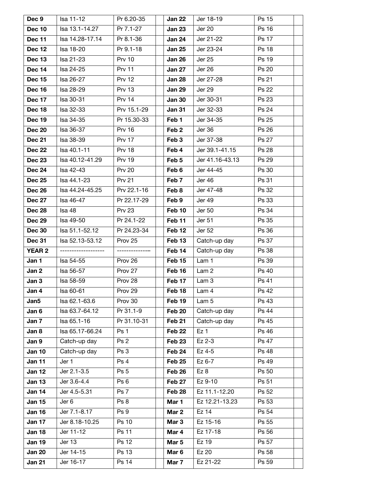| Dec 9         | lsa 11-12           | Pr 6.20-35     | Jan 22            | Jer 18-19        | Ps 15        |
|---------------|---------------------|----------------|-------------------|------------------|--------------|
| <b>Dec 10</b> | Isa 13.1-14.27      | Pr 7.1-27      | <b>Jan 23</b>     | <b>Jer 20</b>    | Ps 16        |
| <b>Dec 11</b> | Isa 14.28-17.14     | Pr 8.1-36      | Jan 24            | Jer 21-22        | <b>Ps 17</b> |
| <b>Dec 12</b> | Isa 18-20           | Pr 9.1-18      | <b>Jan 25</b>     | Jer 23-24        | Ps 18        |
| <b>Dec 13</b> | Isa 21-23           | <b>Prv 10</b>  | <b>Jan 26</b>     | Jer 25           | Ps 19        |
| Dec 14        | Isa 24-25           | <b>Prv 11</b>  | <b>Jan 27</b>     | Jer 26           | Ps 20        |
| <b>Dec 15</b> | Isa 26-27           | <b>Prv 12</b>  | <b>Jan 28</b>     | Jer 27-28        | Ps 21        |
| <b>Dec 16</b> | Isa 28-29           | <b>Prv 13</b>  | <b>Jan 29</b>     | <b>Jer 29</b>    | Ps 22        |
| <b>Dec 17</b> | Isa 30-31           | <b>Prv 14</b>  | <b>Jan 30</b>     | Jer 30-31        | Ps 23        |
| <b>Dec 18</b> | Isa 32-33           | Prv 15.1-29    | <b>Jan 31</b>     | Jer 32-33        | Ps 24        |
| <b>Dec 19</b> | Isa 34-35           | Pr 15.30-33    | Feb 1             | Jer 34-35        | Ps 25        |
| <b>Dec 20</b> | Isa 36-37           | <b>Prv 16</b>  | Feb <sub>2</sub>  | Jer 36           | Ps 26        |
| <b>Dec 21</b> | Isa 38-39           | <b>Prv 17</b>  | Feb 3             | Jer 37-38        | Ps 27        |
| <b>Dec 22</b> | Isa 40.1-11         | <b>Prv 18</b>  | Feb 4             | Jer 39.1-41.15   | Ps 28        |
| <b>Dec 23</b> | Isa 40.12-41.29     | <b>Prv 19</b>  | Feb 5             | Jer 41.16-43.13  | Ps 29        |
| <b>Dec 24</b> | Isa 42-43           | <b>Prv 20</b>  | Feb 6             | Jer 44-45        | Ps 30        |
| <b>Dec 25</b> | lsa 44.1-23         | <b>Prv 21</b>  | Feb 7             | Jer 46           | Ps 31        |
| <b>Dec 26</b> | Isa 44.24-45.25     | Prv 22.1-16    | Feb 8             | Jer 47-48        | Ps 32        |
| <b>Dec 27</b> | Isa 46-47           | Pr 22.17-29    | Feb 9             | Jer 49           | Ps 33        |
| <b>Dec 28</b> | Isa 48              | <b>Prv 23</b>  | Feb 10            | Jer 50           | Ps 34        |
| <b>Dec 29</b> | Isa 49-50           | Pr 24.1-22     | Feb 11            | Jer 51           | Ps 35        |
| <b>Dec 30</b> | Isa 51.1-52.12      | Pr 24.23-34    | Feb 12            | Jer 52           | Ps 36        |
| <b>Dec 31</b> | Isa 52.13-53.12     | Prov 25        | Feb <sub>13</sub> | Catch-up day     | Ps 37        |
| <b>YEAR 2</b> | ------------------- | -------------- | Feb 14            | Catch-up day     | Ps 38        |
| Jan 1         | Isa 54-55           | Prov 26        | Feb 15            | Lam 1            | Ps 39        |
| Jan 2         | Isa 56-57           | Prov 27        | Feb 16            | Lam 2            | Ps 40        |
| Jan 3         | Isa 58-59           | Prov 28        | Feb 17            | Lam <sub>3</sub> | Ps 41        |
| Jan 4         | Isa 60-61           | Prov 29        | Feb 18            | Lam 4            | Ps 42        |
| Jan5          | Isa 62.1-63.6       | Prov 30        | Feb 19            | Lam 5            | Ps 43        |
| Jan 6         | Isa 63.7-64.12      | Pr 31.1-9      | Feb 20            | Catch-up day     | Ps 44        |
| Jan 7         | Isa 65.1-16         | Pr 31.10-31    | Feb 21            | Catch-up day     | Ps 45        |
| Jan 8         | Isa 65.17-66.24     | Ps 1           | Feb <sub>22</sub> | Ez <sub>1</sub>  | Ps 46        |
| Jan 9         | Catch-up day        | Ps 2           | Feb 23            | Ez 2-3           | Ps 47        |
| <b>Jan 10</b> | Catch-up day        | Ps 3           | Feb 24            | Ez 4-5           | Ps 48        |
| <b>Jan 11</b> | Jer 1               | Ps 4           | Feb 25            | Ez 6-7           | Ps 49        |
| <b>Jan 12</b> | Jer 2.1-3.5         | Ps 5           | Feb 26            | Ez 8             | Ps 50        |
| <b>Jan 13</b> | Jer 3.6-4.4         | Ps 6           | Feb 27            | Ez 9-10          | Ps 51        |
| Jan 14        | Jer 4.5-5.31        | Ps 7           | Feb 28            | Ez 11.1-12.20    | Ps 52        |
| <b>Jan 15</b> | Jer 6               | Ps 8           | Mar 1             | Ez 12.21-13.23   | Ps 53        |
| <b>Jan 16</b> | Jer 7.1-8.17        | Ps 9           | Mar 2             | Ez 14            | Ps 54        |
| <b>Jan 17</b> | Jer 8.18-10.25      | Ps 10          | Mar <sub>3</sub>  | Ez 15-16         | Ps 55        |
| <b>Jan 18</b> | Jer 11-12           | Ps 11          | Mar 4             | Ez 17-18         | Ps 56        |
| <b>Jan 19</b> | Jer 13              | Ps 12          | Mar 5             | Ez 19            | Ps 57        |
| <b>Jan 20</b> | Jer 14-15           | Ps 13          | Mar <sub>6</sub>  | Ez 20            | Ps 58        |
| <b>Jan 21</b> | Jer 16-17           | Ps 14          | Mar 7             | Ez 21-22         | Ps 59        |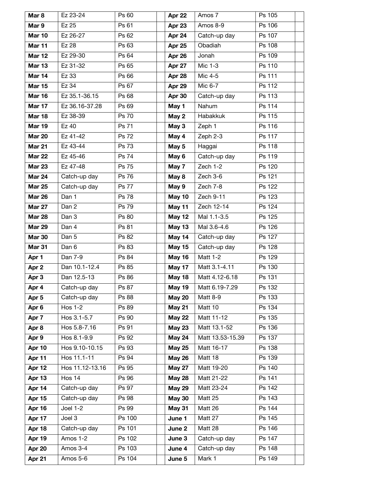| Mar <sub>8</sub> | Ez 23-24        | Ps 60        | Apr 22        | Amos 7           | Ps 105 |
|------------------|-----------------|--------------|---------------|------------------|--------|
| Mar 9            | Ez 25           | Ps 61        | Apr 23        | Amos 8-9         | Ps 106 |
| <b>Mar 10</b>    | Ez 26-27        | Ps 62        | Apr 24        | Catch-up day     | Ps 107 |
| Mar 11           | Ez 28           | Ps 63        | Apr 25        | Obadiah          | Ps 108 |
| <b>Mar 12</b>    | Ez 29-30        | Ps 64        | Apr 26        | Jonah            | Ps 109 |
| <b>Mar 13</b>    | Ez 31-32        | Ps 65        | Apr 27        | Mic 1-3          | Ps 110 |
| Mar 14           | Ez 33           | Ps 66        | Apr 28        | Mic 4-5          | Ps 111 |
| <b>Mar 15</b>    | Ez 34           | Ps 67        | Apr 29        | Mic 6-7          | Ps 112 |
| <b>Mar 16</b>    | Ez 35.1-36.15   | Ps 68        | Apr 30        | Catch-up day     | Ps 113 |
| Mar 17           | Ez 36.16-37.28  | Ps 69        | May 1         | Nahum            | Ps 114 |
| <b>Mar 18</b>    | Ez 38-39        | Ps 70        | May 2         | Habakkuk         | Ps 115 |
| <b>Mar 19</b>    | Ez 40           | Ps 71        | May 3         | Zeph 1           | Ps 116 |
| <b>Mar 20</b>    | Ez 41-42        | <b>Ps 72</b> | May 4         | Zeph 2-3         | Ps 117 |
| <b>Mar 21</b>    | Ez 43-44        | Ps 73        | May 5         | Haggai           | Ps 118 |
| <b>Mar 22</b>    | Ez 45-46        | <b>Ps 74</b> | May 6         | Catch-up day     | Ps 119 |
| <b>Mar 23</b>    | Ez 47-48        | Ps 75        | May 7         | Zech 1-2         | Ps 120 |
| <b>Mar 24</b>    | Catch-up day    | Ps 76        | May 8         | Zech 3-6         | Ps 121 |
| <b>Mar 25</b>    | Catch-up day    | <b>Ps 77</b> | May 9         | Zech 7-8         | Ps 122 |
| <b>Mar 26</b>    | Dan 1           | <b>Ps 78</b> | May 10        | Zech 9-11        | Ps 123 |
| <b>Mar 27</b>    | Dan 2           | Ps 79        | May 11        | Zech 12-14       | Ps 124 |
| <b>Mar 28</b>    | Dan 3           | Ps 80        | May 12        | Mal 1.1-3.5      | Ps 125 |
| <b>Mar 29</b>    | Dan 4           | Ps 81        | May 13        | Mal 3.6-4.6      | Ps 126 |
| <b>Mar 30</b>    | Dan 5           | Ps 82        | May 14        | Catch-up day     | Ps 127 |
| <b>Mar 31</b>    | Dan 6           | Ps 83        | May 15        | Catch-up day     | Ps 128 |
| Apr 1            | Dan 7-9         | Ps 84        | May 16        | Matt 1-2         | Ps 129 |
| Apr 2            | Dan 10.1-12.4   | Ps 85        | May 17        | Matt 3.1-4.11    | Ps 130 |
| Apr 3            | Dan 12.5-13     | Ps 86        | May 18        | Matt 4.12-6.18   | Ps 131 |
| Apr 4            | Catch-up day    | Ps 87        | May 19        | Matt 6.19-7.29   | Ps 132 |
| Apr <sub>5</sub> | Catch-up day    | Ps 88        | <b>May 20</b> | Matt 8-9         | Ps 133 |
| Apr 6            | Hos $1-2$       | Ps 89        | <b>May 21</b> | Matt 10          | Ps 134 |
| Apr 7            | Hos 3.1-5.7     | Ps 90        | <b>May 22</b> | Matt 11-12       | Ps 135 |
| Apr 8            | Hos 5.8-7.16    | Ps 91        | <b>May 23</b> | Matt 13.1-52     | Ps 136 |
| Apr 9            | Hos 8.1-9.9     | Ps 92        | <b>May 24</b> | Matt 13.53-15.39 | Ps 137 |
| Apr 10           | Hos 9.10-10.15  | Ps 93        | <b>May 25</b> | Matt 16-17       | Ps 138 |
| Apr 11           | Hos 11.1-11     | Ps 94        | <b>May 26</b> | Matt 18          | Ps 139 |
| Apr 12           | Hos 11.12-13.16 | Ps 95        | May 27        | Matt 19-20       | Ps 140 |
| Apr 13           | Hos 14          | Ps 96        | <b>May 28</b> | Matt 21-22       | Ps 141 |
| Apr 14           | Catch-up day    | Ps 97        | <b>May 29</b> | Matt 23-24       | Ps 142 |
| Apr 15           | Catch-up day    | Ps 98        | <b>May 30</b> | Matt 25          | Ps 143 |
| Apr 16           | <b>Joel 1-2</b> | Ps 99        | <b>May 31</b> | Matt 26          | Ps 144 |
| Apr 17           | Joel 3          | Ps 100       | June 1        | Matt 27          | Ps 145 |
| Apr 18           | Catch-up day    | Ps 101       | June 2        | Matt 28          | Ps 146 |
| Apr 19           | Amos 1-2        | Ps 102       | June 3        | Catch-up day     | Ps 147 |
| Apr 20           | Amos 3-4        | Ps 103       | June 4        | Catch-up day     | Ps 148 |
| Apr 21           | Amos 5-6        | Ps 104       | June 5        | Mark 1           | Ps 149 |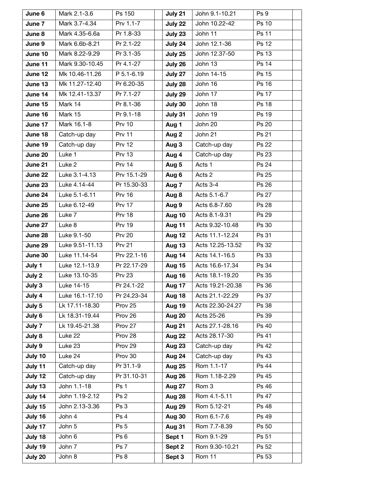| June 6             | Mark 2.1-3.6                     | Ps 150                  | July 21          | John 9.1-10.21              | Ps 9                  |
|--------------------|----------------------------------|-------------------------|------------------|-----------------------------|-----------------------|
| June 7             | Mark 3.7-4.34                    | Prv 1.1-7               | July 22          | John 10.22-42               | Ps 10                 |
| June 8             | Mark 4.35-6.6a                   | Pr 1.8-33               | July 23          | John 11                     | Ps 11                 |
| June 9             | Mark 6.6b-8.21                   | Pr 2.1-22               | July 24          | John 12.1-36                | Ps 12                 |
| June 10            | Mark 8.22-9.29                   | Pr 3.1-35               | July 25          | John 12.37-50               | Ps 13                 |
| June 11            | Mark 9.30-10.45                  | Pr 4.1-27               | July 26          | John 13                     | Ps 14                 |
| June 12            | Mk 10.46-11.26                   | P 5.1-6.19              | July 27          | John 14-15                  | Ps 15                 |
| June 13            | Mk 11.27-12.40                   | Pr 6.20-35              | July 28          | John 16                     | Ps 16                 |
| June 14            | Mk 12.41-13.37                   | Pr 7.1-27               | July 29          | John $1\overline{7}$        | Ps 17                 |
| June 15            | Mark 14                          | Pr 8.1-36               | July 30          | John 18                     | <b>Ps 18</b>          |
| June 16            | Mark 15                          | Pr 9.1-18               | July 31          | John 19                     | Ps 19                 |
| June 17            | Mark 16.1-8                      | <b>Prv 10</b>           | Aug 1            | John 20                     | Ps 20                 |
| June 18            | Catch-up day                     | <b>Prv 11</b>           | Aug 2            | John 21                     | Ps 21                 |
| June 19            | Catch-up day                     | <b>Prv 12</b>           | Aug 3            | Catch-up day                | Ps 22                 |
| June 20            | Luke 1                           | <b>Prv 13</b>           | Aug 4            | Catch-up day                | Ps 23                 |
| June 21            | Luke 2                           | <b>Prv 14</b>           | Aug 5            | Acts 1                      | Ps 24                 |
| June 22            | Luke 3.1-4.13                    | Prv 15.1-29             | Aug 6            | Acts 2                      | Ps 25                 |
| June 23            | Luke 4.14-44                     | Pr 15.30-33             | Aug 7            | Acts 3-4                    | Ps 26                 |
| June 24            | Luke 5.1-6.11                    | <b>Prv 16</b>           | Aug 8            | Acts 5.1-6.7                | Ps 27                 |
| June 25            | Luke 6.12-49                     | <b>Prv 17</b>           | Aug 9            | Acts 6.8-7.60               | Ps 28                 |
| June 26            | Luke 7                           | <b>Prv 18</b>           | Aug 10           | Acts 8.1-9.31               | Ps 29                 |
| June 27            | Luke 8                           | <b>Prv 19</b>           | Aug 11           | Acts 9.32-10.48             | Ps 30                 |
| June 28            | Luke 9.1-50                      | <b>Prv 20</b>           | Aug 12           | Acts 11.1-12.24             | Ps 31                 |
| June 29            | Luke 9.51-11.13                  | <b>Prv 21</b>           | Aug 13           | Acts 12.25-13.52            | Ps 32                 |
| June 30            | Luke 11.14-54                    | Prv 22.1-16             | Aug 14           | Acts 14.1-16.5              | Ps 33                 |
| July 1             | Luke 12.1-13.9                   | Pr 22.17-29             | Aug 15           | Acts 16.6-17.34             | Ps 34                 |
| July 2             | Luke 13.10-35                    | <b>Prv 23</b>           | Aug 16           | Acts 18.1-19.20             | Ps 35                 |
| July 3             | Luke 14-15                       | Pr 24.1-22              | Aug 17           | Acts 19.21-20.38            | Ps 36                 |
| July 4             | Luke 16.1-17.10                  | Pr 24.23-34             | Aug 18           | Acts 21.1-22.29             | Ps 37                 |
| July 5             | Lk 17.11-18.30                   | Prov 25                 | Aug 19           | Acts 22.30-24.27            | Ps 38                 |
| July 6             | Lk 18.31-19.44                   | Prov 26                 | Aug 20           | Acts 25-26                  | Ps 39                 |
| July 7             | Lk 19.45-21.38                   | Prov 27                 | Aug 21           | Acts 27.1-28.16             | Ps 40                 |
| July 8             | Luke 22                          | Prov 28                 | Aug 22           | Acts 28.17-30               | Ps 41                 |
| July 9             | Luke 23                          | Prov 29                 | Aug 23           | Catch-up day                | Ps 42                 |
| July 10            | Luke 24                          | Prov 30                 | Aug 24           | Catch-up day                | Ps 43                 |
| July 11            | Catch-up day                     | Pr 31.1-9               | <b>Aug 25</b>    | Rom 1.1-17                  | Ps 44                 |
| July 12            | Catch-up day                     | Pr 31.10-31             | Aug 26           | Rom 1.18-2.29               | Ps 45                 |
| July 13            | John 1.1-18                      | Ps 1                    | Aug 27           | Rom 3                       | Ps 46                 |
| July 14            | John 1.19-2.12<br>John 2.13-3.36 | Ps <sub>2</sub><br>Ps 3 | Aug 28           | Rom 4.1-5.11<br>Rom 5.12-21 | Ps 47<br><b>Ps 48</b> |
| July 15<br>July 16 | John 4                           | Ps 4                    | Aug 29<br>Aug 30 | Rom 6.1-7.6                 | Ps 49                 |
| July 17            | John 5                           | Ps 5                    | Aug 31           | Rom 7.7-8.39                | Ps 50                 |
| July 18            | John 6                           | Ps 6                    | Sept 1           | Rom 9.1-29                  | Ps 51                 |
| July 19            | John 7                           | Ps 7                    | Sept 2           | Rom 9.30-10.21              | Ps 52                 |
|                    |                                  |                         |                  | Rom 11                      | Ps 53                 |
| July 20            | John 8                           | Ps 8                    | Sept 3           |                             |                       |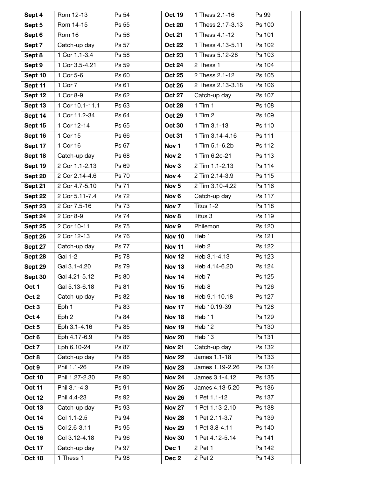| Sept 4           | Rom 12-13       | Ps 54        | <b>Oct 19</b>    | 1 Thess 2.1-16    | Ps 99  |
|------------------|-----------------|--------------|------------------|-------------------|--------|
| Sept 5           | Rom 14-15       | Ps 55        | <b>Oct 20</b>    | 1 Thess 2.17-3.13 | Ps 100 |
| Sept 6           | Rom 16          | Ps 56        | <b>Oct 21</b>    | 1 Thess 4.1-12    | Ps 101 |
| Sept 7           | Catch-up day    | Ps 57        | <b>Oct 22</b>    | 1 Thess 4.13-5.11 | Ps 102 |
| Sept 8           | 1 Cor 1.1-3.4   | Ps 58        | <b>Oct 23</b>    | 1 Thess 5.12-28   | Ps 103 |
| Sept 9           | 1 Cor 3.5-4.21  | Ps 59        | <b>Oct 24</b>    | 2 Thess 1         | Ps 104 |
| Sept 10          | 1 Cor 5-6       | Ps 60        | <b>Oct 25</b>    | 2 Thess 2.1-12    | Ps 105 |
| Sept 11          | 1 Cor 7         | Ps 61        | <b>Oct 26</b>    | 2 Thess 2.13-3.18 | Ps 106 |
| Sept 12          | 1 Cor 8-9       | Ps 62        | <b>Oct 27</b>    | Catch-up day      | Ps 107 |
| Sept 13          | 1 Cor 10.1-11.1 | Ps 63        | <b>Oct 28</b>    | $1$ Tim $1$       | Ps 108 |
| Sept 14          | 1 Cor 11.2-34   | Ps 64        | <b>Oct 29</b>    | $1$ Tim $2$       | Ps 109 |
| Sept 15          | 1 Cor 12-14     | Ps 65        | <b>Oct 30</b>    | 1 Tim 3.1-13      | Ps 110 |
| Sept 16          | 1 Cor 15        | Ps 66        | <b>Oct 31</b>    | 1 Tim 3.14-4.16   | Ps 111 |
| Sept 17          | 1 Cor 16        | Ps 67        | Nov <sub>1</sub> | 1 Tim 5.1-6.2b    | Ps 112 |
| Sept 18          | Catch-up day    | Ps 68        | Nov <sub>2</sub> | 1 Tim 6.2c-21     | Ps 113 |
| Sept 19          | 2 Cor 1.1-2.13  | Ps 69        | Nov <sub>3</sub> | 2 Tim 1.1-2.13    | Ps 114 |
| Sept 20          | 2 Cor 2.14-4.6  | Ps 70        | Nov <sub>4</sub> | 2 Tim 2.14-3.9    | Ps 115 |
| Sept 21          | 2 Cor 4.7-5.10  | Ps 71        | Nov <sub>5</sub> | 2 Tim 3.10-4.22   | Ps 116 |
| Sept 22          | 2 Cor 5.11-7.4  | Ps 72        | Nov <sub>6</sub> | Catch-up day      | Ps 117 |
| Sept 23          | 2 Cor 7.5-16    | Ps 73        | Nov <sub>7</sub> | Titus 1-2         | Ps 118 |
| Sept 24          | 2 Cor 8-9       | Ps 74        | Nov 8            | Titus 3           | Ps 119 |
| Sept 25          | 2 Cor 10-11     | Ps 75        | Nov 9            | Philemon          | Ps 120 |
| Sept 26          | 2 Cor 12-13     | Ps 76        | <b>Nov 10</b>    | Heb <sub>1</sub>  | Ps 121 |
| Sept 27          | Catch-up day    | <b>Ps 77</b> | <b>Nov 11</b>    | Heb <sub>2</sub>  | Ps 122 |
| Sept 28          | <b>Gal 1-2</b>  | <b>Ps 78</b> | <b>Nov 12</b>    | Heb 3.1-4.13      | Ps 123 |
| Sept 29          | Gal 3.1-4.20    | Ps 79        | <b>Nov 13</b>    | Heb 4.14-6.20     | Ps 124 |
| Sept 30          | Gal 4.21-5.12   | Ps 80        | Nov 14           | Heb 7             | Ps 125 |
| Oct 1            | Gal 5.13-6.18   | Ps 81        | <b>Nov 15</b>    | Heb 8             | Ps 126 |
| Oct 2            | Catch-up day    | Ps 82        | <b>Nov 16</b>    | Heb 9.1-10.18     | Ps 127 |
| Oct <sub>3</sub> | Eph 1           | Ps 83        | Nov 17           | Heb 10.19-39      | Ps 128 |
| Oct 4            | Eph 2           | Ps 84        | <b>Nov 18</b>    | Heb <sub>11</sub> | Ps 129 |
| Oct <sub>5</sub> | Eph 3.1-4.16    | Ps 85        | <b>Nov 19</b>    | Heb 12            | Ps 130 |
| Oct 6            | Eph 4.17-6.9    | Ps 86        | <b>Nov 20</b>    | Heb 13            | Ps 131 |
| Oct 7            | Eph 6.10-24     | Ps 87        | <b>Nov 21</b>    | Catch-up day      | Ps 132 |
| Oct 8            | Catch-up day    | Ps 88        | <b>Nov 22</b>    | James 1.1-18      | Ps 133 |
| Oct 9            | Phil 1.1-26     | Ps 89        | <b>Nov 23</b>    | James 1.19-2.26   | Ps 134 |
| <b>Oct 10</b>    | Phil 1.27-2.30  | Ps 90        | <b>Nov 24</b>    | James 3.1-4.12    | Ps 135 |
| <b>Oct 11</b>    | Phil 3.1-4.3    | Ps 91        | <b>Nov 25</b>    | James 4.13-5.20   | Ps 136 |
| <b>Oct 12</b>    | Phil 4.4-23     | Ps 92        | <b>Nov 26</b>    | 1 Pet 1.1-12      | Ps 137 |
| <b>Oct 13</b>    | Catch-up day    | Ps 93        | <b>Nov 27</b>    | 1 Pet 1.13-2.10   | Ps 138 |
| <b>Oct 14</b>    | Col 1.1-2.5     | Ps 94        | <b>Nov 28</b>    | 1 Pet 2.11-3.7    | Ps 139 |
| <b>Oct 15</b>    | Col 2.6-3.11    | Ps 95        | <b>Nov 29</b>    | 1 Pet 3.8-4.11    | Ps 140 |
| <b>Oct 16</b>    | Col 3.12-4.18   | Ps 96        | <b>Nov 30</b>    | 1 Pet 4.12-5.14   | Ps 141 |
| <b>Oct 17</b>    | Catch-up day    | Ps 97        | Dec 1            | 2 Pet 1           | Ps 142 |
| <b>Oct 18</b>    | 1 Thess 1       | Ps 98        | Dec 2            | 2 Pet 2           | Ps 143 |